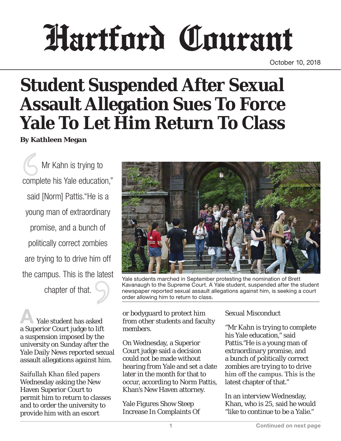# Hartford Courant

October 10, 2018

# **Student Suspended After Sexual Assault Allegation Sues To Force Yale To Let Him Return To Class**

**By Kathleen Megan**

 Mr Kahn is trying to complete his Yale education," said [Norm] Pattis."He is a young man of extraordinary promise, and a bunch of politically correct zombies are trying to to drive him off the campus. This is the latest chapter of that.

Yale student has asked a Superior Court judge to lift a suspension imposed by the university on Sunday after the Yale Daily News reported sexual assault allegations against him.

Saifullah Khan filed papers Wednesday asking the New Haven Superior Court to permit him to return to classes and to order the university to provide him with an escort



Yale students marched in September protesting the nomination of Brett Kavanaugh to the Supreme Court. A Yale student, suspended after the student newspaper reported sexual assault allegations against him, is seeking a court order allowing him to return to class.

or bodyguard to protect him from other students and faculty members.

On Wednesday, a Superior Court judge said a decision could not be made without hearing from Yale and set a date later in the month for that to occur, according to Norm Pattis, Khan's New Haven attorney.

Yale Figures Show Steep Increase In Complaints Of

#### Sexual Misconduct

"Mr Kahn is trying to complete his Yale education," said Pattis."He is a young man of extraordinary promise, and a bunch of politically correct zombies are trying to to drive him off the campus. This is the latest chapter of that."

In an interview Wednesday, Khan, who is 25, said he would "like to continue to be a Yalie."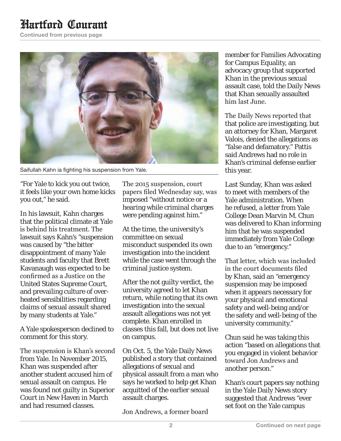## Hartford Courant

Continued from previous page



Saifullah Kahn ia fighting his suspension from Yale.

"For Yale to kick you out twice, it feels like your own home kicks you out," he said.

In his lawsuit, Kahn charges that the political climate at Yale is behind his treatment. The lawsuit says Kahn's "suspension was caused by "the bitter disappointment of many Yale students and faculty that Brett Kavanaugh was expected to be confirmed as a Justice on the United States Supreme Court, and prevailing culture of overheated sensibilities regarding claims of sexual assault shared by many students at Yale."

A Yale spokesperson declined to comment for this story.

The suspension is Khan's second from Yale. In November 2015, Khan was suspended after another student accused him of sexual assault on campus. He was found not guilty in Superior Court in New Haven in March and had resumed classes.

The 2015 suspension, court papers filed Wednesday say, was imposed "without notice or a hearing while criminal charges were pending against him."

At the time, the university's committee on sexual misconduct suspended its own investigation into the incident while the case went through the criminal justice system.

After the not guilty verdict, the university agreed to let Khan return, while noting that its own investigation into the sexual assault allegations was not yet complete. Khan enrolled in classes this fall, but does not live on campus.

On Oct. 5, the Yale Daily News published a story that contained allegations of sexual and physical assault from a man who says he worked to help get Khan acquitted of the earlier sexual assault charges.

Jon Andrews, a former board

member for Families Advocating for Campus Equality, an advocacy group that supported Khan in the previous sexual assault case, told the Daily News that Khan sexually assaulted him last June.

The Daily News reported that that police are investigating, but an attorney for Khan, Margaret Valois, denied the allegations as "false and defamatory." Pattis said Andrews had no role in Khan's criminal defense earlier this year.

Last Sunday, Khan was asked to meet with members of the Yale administration. When he refused, a letter from Yale College Dean Marvin M. Chun was delivered to Khan informing him that he was suspended immediately from Yale College due to an "emergency."

That letter, which was included in the court documents filed by Khan, said an "emergency suspension may be imposed when it appears necessary for your physical and emotional safety and well-being and/or the safety and well-being of the university community."

Chun said he was taking this action "based on allegations that you engaged in violent behavior toward Jon Andrews and another person."

Khan's court papers say nothing in the Yale Daily News story suggested that Andrews "ever set foot on the Yale campus